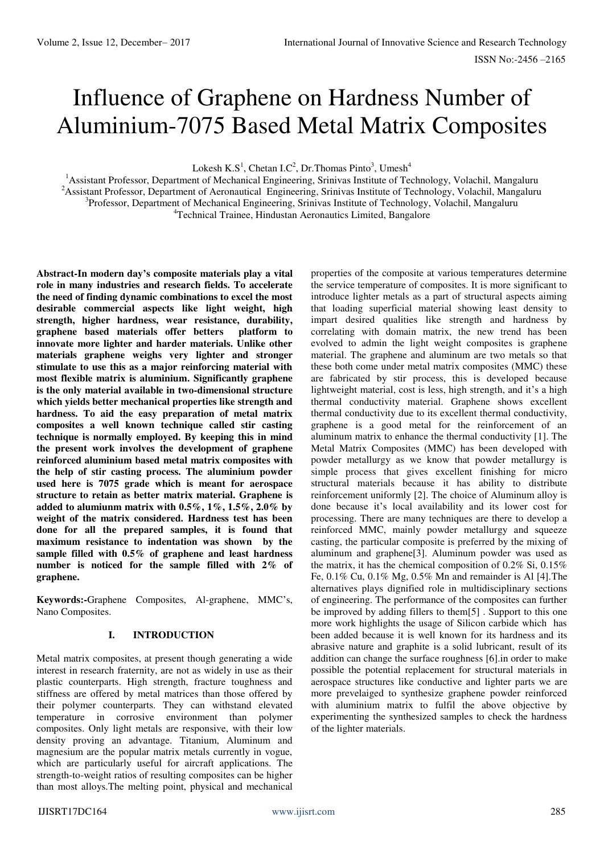# Influence of Graphene on Hardness Number of Aluminium-7075 Based Metal Matrix Composites

Lokesh  $K.S^1$ , Chetan I.C<sup>2</sup>, Dr. Thomas Pinto<sup>3</sup>, Umesh<sup>4</sup>

<sup>1</sup>Assistant Professor, Department of Mechanical Engineering, Srinivas Institute of Technology, Volachil, Mangaluru <sup>2</sup> Assistant Professor, Department of Aeronautical Engineering, Srinivas Institute of Technology, Volachil, Mangaluru <sup>3</sup>Professor, Department of Mechanical Engineering, Srinivas Institute of Technology, Volachil, Mangaluru <sup>4</sup>Technical Trainee, Hindustan Aeronautics Limited, Bangalore

**Abstract-In modern day's composite materials play a vital role in many industries and research fields. To accelerate the need of finding dynamic combinations to excel the most desirable commercial aspects like light weight, high strength, higher hardness, wear resistance, durability, graphene based materials offer betters platform to innovate more lighter and harder materials. Unlike other materials graphene weighs very lighter and stronger stimulate to use this as a major reinforcing material with most flexible matrix is aluminium. Significantly graphene is the only material available in two-dimensional structure which yields better mechanical properties like strength and hardness. To aid the easy preparation of metal matrix composites a well known technique called stir casting technique is normally employed. By keeping this in mind the present work involves the development of graphene reinforced aluminium based metal matrix composites with the help of stir casting process. The aluminium powder used here is 7075 grade which is meant for aerospace structure to retain as better matrix material. Graphene is added to alumiunm matrix with 0.5%, 1%, 1.5%, 2.0% by weight of the matrix considered. Hardness test has been done for all the prepared samples, it is found that maximum resistance to indentation was shown by the sample filled with 0.5% of graphene and least hardness number is noticed for the sample filled with 2% of graphene.** 

**Keywords:-**Graphene Composites, Al-graphene, MMC's, Nano Composites.

#### **I. INTRODUCTION**

Metal matrix composites, at present though generating a wide interest in research fraternity, are not as widely in use as their plastic counterparts. High strength, fracture toughness and stiffness are offered by metal matrices than those offered by their polymer counterparts. They can withstand elevated temperature in corrosive environment than polymer composites. Only light metals are responsive, with their low density proving an advantage. Titanium, Aluminum and magnesium are the popular matrix metals currently in vogue, which are particularly useful for aircraft applications. The strength-to-weight ratios of resulting composites can be higher than most alloys.The melting point, physical and mechanical

properties of the composite at various temperatures determine the service temperature of composites. It is more significant to introduce lighter metals as a part of structural aspects aiming that loading superficial material showing least density to impart desired qualities like strength and hardness by correlating with domain matrix, the new trend has been evolved to admin the light weight composites is graphene material. The graphene and aluminum are two metals so that these both come under metal matrix composites (MMC) these are fabricated by stir process, this is developed because lightweight material, cost is less, high strength, and it's a high thermal conductivity material. Graphene shows excellent thermal conductivity due to its excellent thermal conductivity, graphene is a good metal for the reinforcement of an aluminum matrix to enhance the thermal conductivity [1]. The Metal Matrix Composites (MMC) has been developed with powder metallurgy as we know that powder metallurgy is simple process that gives excellent finishing for micro structural materials because it has ability to distribute reinforcement uniformly [2]. The choice of Aluminum alloy is done because it's local availability and its lower cost for processing. There are many techniques are there to develop a reinforced MMC, mainly powder metallurgy and squeeze casting, the particular composite is preferred by the mixing of aluminum and graphene[3]. Aluminum powder was used as the matrix, it has the chemical composition of 0.2% Si, 0.15% Fe, 0.1% Cu, 0.1% Mg, 0.5% Mn and remainder is Al [4].The alternatives plays dignified role in multidisciplinary sections of engineering. The performance of the composites can further be improved by adding fillers to them[5] . Support to this one more work highlights the usage of Silicon carbide which has been added because it is well known for its hardness and its abrasive nature and graphite is a solid lubricant, result of its addition can change the surface roughness [6].in order to make possible the potential replacement for structural materials in aerospace structures like conductive and lighter parts we are more prevelaiged to synthesize graphene powder reinforced with aluminium matrix to fulfil the above objective by experimenting the synthesized samples to check the hardness of the lighter materials.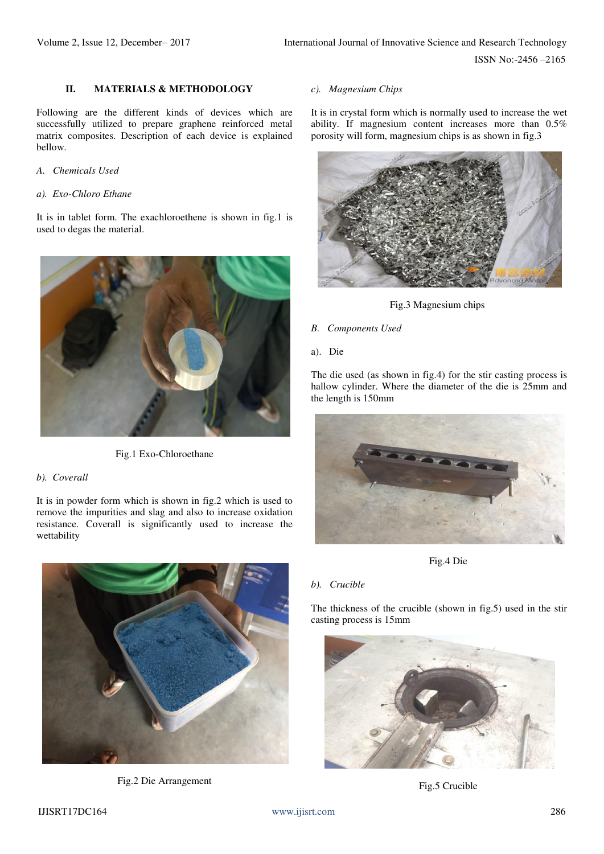### **II. MATERIALS & METHODOLOGY**

Following are the different kinds of devices which are successfully utilized to prepare graphene reinforced metal matrix composites. Description of each device is explained bellow.

#### *A. Chemicals Used*

#### *a). Exo-Chloro Ethane*

It is in tablet form. The exachloroethene is shown in fig.1 is used to degas the material.



Fig.1 Exo-Chloroethane

#### *b). Coverall*

It is in powder form which is shown in fig.2 which is used to remove the impurities and slag and also to increase oxidation resistance. Coverall is significantly used to increase the wettability



Fig.2 Die Arrangement

#### *c). Magnesium Chips*

It is in crystal form which is normally used to increase the wet ability. If magnesium content increases more than 0.5% porosity will form, magnesium chips is as shown in fig.3



Fig.3 Magnesium chips

### *B. Components Used*

a). Die

The die used (as shown in fig.4) for the stir casting process is hallow cylinder. Where the diameter of the die is 25mm and the length is 150mm



Fig.4 Die

#### *b). Crucible*

The thickness of the crucible (shown in fig.5) used in the stir casting process is 15mm



Fig.5 Crucible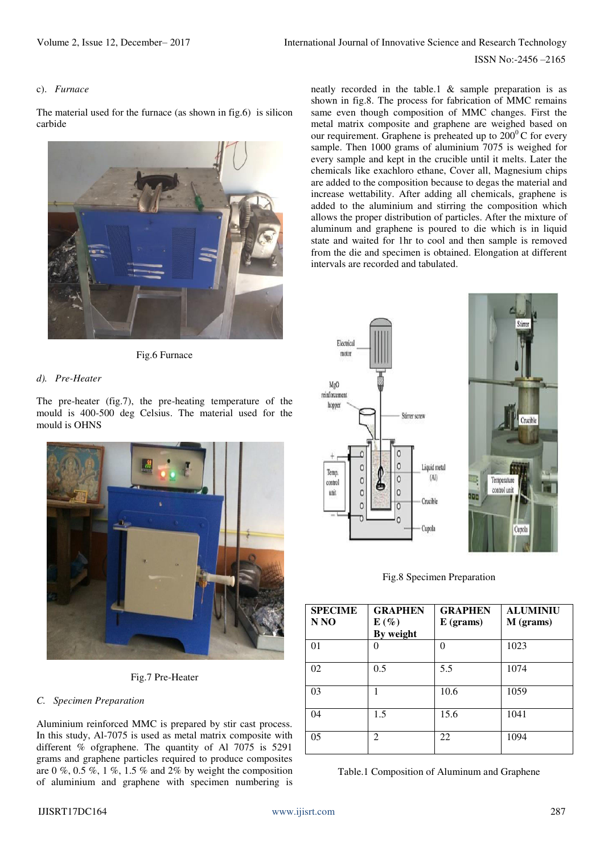#### c). *Furnace*

The material used for the furnace (as shown in fig.6) is silicon carbide



Fig.6 Furnace

#### *d). Pre-Heater*

The pre-heater (fig.7), the pre-heating temperature of the mould is 400-500 deg Celsius. The material used for the mould is OHNS



Fig.7 Pre-Heater

#### *C. Specimen Preparation*

Aluminium reinforced MMC is prepared by stir cast process. In this study, Al-7075 is used as metal matrix composite with different % ofgraphene. The quantity of Al 7075 is 5291 grams and graphene particles required to produce composites are  $0\%$ ,  $0.5\%$ ,  $1\%$ ,  $1.5\%$  and  $2\%$  by weight the composition of aluminium and graphene with specimen numbering is neatly recorded in the table.1 & sample preparation is as shown in fig.8. The process for fabrication of MMC remains same even though composition of MMC changes. First the metal matrix composite and graphene are weighed based on our requirement. Graphene is preheated up to  $200^{\circ}$ C for every sample. Then 1000 grams of aluminium 7075 is weighed for every sample and kept in the crucible until it melts. Later the chemicals like exachloro ethane, Cover all, Magnesium chips are added to the composition because to degas the material and increase wettability. After adding all chemicals, graphene is added to the aluminium and stirring the composition which allows the proper distribution of particles. After the mixture of aluminum and graphene is poured to die which is in liquid state and waited for 1hr to cool and then sample is removed from the die and specimen is obtained. Elongation at different intervals are recorded and tabulated.

Flectrica motor MgO reinforcement hopper Stirrer screw  $\mathcal{C}$ Liquid metal C Temp  $(A)$  $\Omega$  $\circ$ control  $\overline{c}$ unit  $\circ$ Crucible Cupola



Fig.8 Specimen Preparation

| <b>SPECIME</b><br>N <sub>N</sub> O | <b>GRAPHEN</b><br>$E(\%)$<br>By weight | <b>GRAPHEN</b><br>$E$ (grams) | <b>ALUMINIU</b><br>M (grams) |
|------------------------------------|----------------------------------------|-------------------------------|------------------------------|
| 01                                 | 0                                      | $\theta$                      | 1023                         |
| 02                                 | 0.5                                    | 5.5                           | 1074                         |
| 03                                 | 1                                      | 10.6                          | 1059                         |
| 04                                 | 1.5                                    | 15.6                          | 1041                         |
| 05                                 | $\mathfrak{D}$                         | 22                            | 1094                         |

|  |  |  | Table.1 Composition of Aluminum and Graphene |
|--|--|--|----------------------------------------------|
|--|--|--|----------------------------------------------|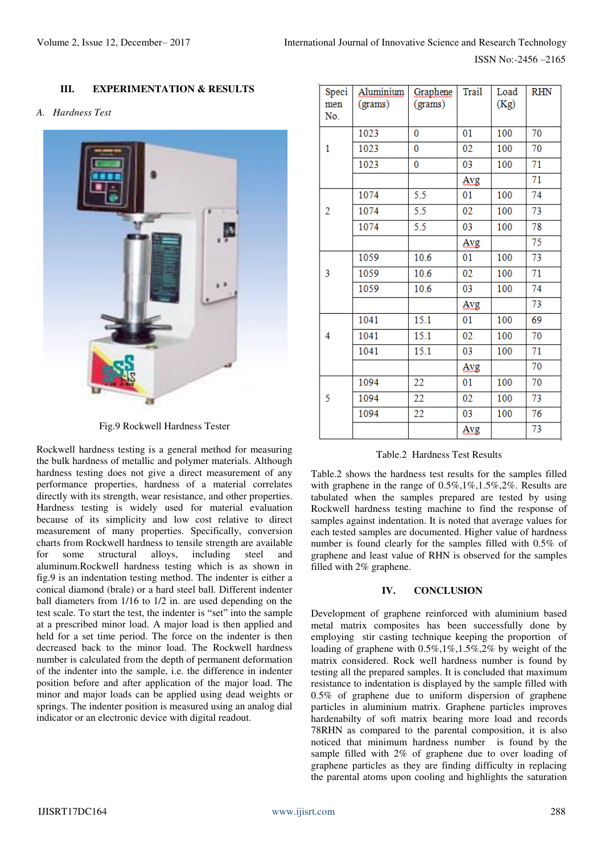## **III. EXPERIMENTATION & RESULTS**

### *A. Hardness Test*



Fig.9 Rockwell Hardness Tester

Rockwell hardness testing is a general method for measuring the bulk hardness of metallic and polymer materials. Although hardness testing does not give a direct measurement of any performance properties, hardness of a material correlates directly with its strength, wear resistance, and other properties. Hardness testing is widely used for material evaluation because of its simplicity and low cost relative to direct measurement of many properties. Specifically, conversion charts from Rockwell hardness to tensile strength are available for some structural alloys, including steel and aluminum.Rockwell hardness testing which is as shown in fig.9 is an indentation testing method. The indenter is either a conical diamond (brale) or a hard steel ball. Different indenter ball diameters from 1/16 to 1/2 in. are used depending on the test scale. To start the test, the indenter is "set" into the sample at a prescribed minor load. A major load is then applied and held for a set time period. The force on the indenter is then decreased back to the minor load. The Rockwell hardness number is calculated from the depth of permanent deformation of the indenter into the sample, i.e. the difference in indenter position before and after application of the major load. The minor and major loads can be applied using dead weights or springs. The indenter position is measured using an analog dial indicator or an electronic device with digital readout.

| Speci<br>men<br>No. | Aluminium<br>(grams) | Graphene<br>(grams) | <b>Trail</b> | Load<br>(Kg) | <b>RHN</b> |
|---------------------|----------------------|---------------------|--------------|--------------|------------|
|                     | 1023                 | 0                   | 01           | 100          | 70         |
| 1                   | 1023                 | 0                   | 02           | 100          | 70         |
|                     | 1023                 | 0                   | 03           | 100          | 71         |
|                     |                      |                     | Avg          |              | 71         |
|                     | 1074                 | 5.5                 | 01           | 100          | 74         |
| 2                   | 1074                 | 5.5                 | 02           | 100          | 73         |
|                     | 1074                 | 5.5                 | 03           | 100          | 78         |
|                     |                      |                     | Avg          |              | 75         |
|                     | 1059                 | 10.6                | 01           | 100          | 73         |
| 3                   | 1059                 | 10.6                | 02           | 100          | 71         |
|                     | 1059                 | 10.6                | 03           | 100          | 74         |
|                     |                      |                     | Avg          |              | 73         |
|                     | 1041                 | 15.1                | 01           | 100          | 69         |
| 4                   | 1041                 | 15.1                | 02           | 100          | 70         |
|                     | 1041                 | 15.1                | 03           | 100          | 71         |
|                     |                      |                     | Avg          |              | 70         |
|                     | 1094                 | 22                  | 01           | 100          | 70         |
| 5                   | 1094                 | 22                  | 02           | 100          | 73         |
|                     | 1094                 | 22                  | 03           | 100          | 76         |
|                     |                      |                     | Avg          |              | 73         |

#### Table.2 Hardness Test Results

Table.2 shows the hardness test results for the samples filled with graphene in the range of 0.5%,1%,1.5%,2%. Results are tabulated when the samples prepared are tested by using Rockwell hardness testing machine to find the response of samples against indentation. It is noted that average values for each tested samples are documented. Higher value of hardness number is found clearly for the samples filled with 0.5% of graphene and least value of RHN is observed for the samples filled with 2% graphene.

#### **IV. CONCLUSION**

Development of graphene reinforced with aluminium based metal matrix composites has been successfully done by employing stir casting technique keeping the proportion of loading of graphene with 0.5%,1%,1.5%,2% by weight of the matrix considered. Rock well hardness number is found by testing all the prepared samples. It is concluded that maximum resistance to indentation is displayed by the sample filled with 0.5% of graphene due to uniform dispersion of graphene particles in aluminium matrix. Graphene particles improves hardenabilty of soft matrix bearing more load and records 78RHN as compared to the parental composition, it is also noticed that minimum hardness number is found by the sample filled with 2% of graphene due to over loading of graphene particles as they are finding difficulty in replacing the parental atoms upon cooling and highlights the saturation